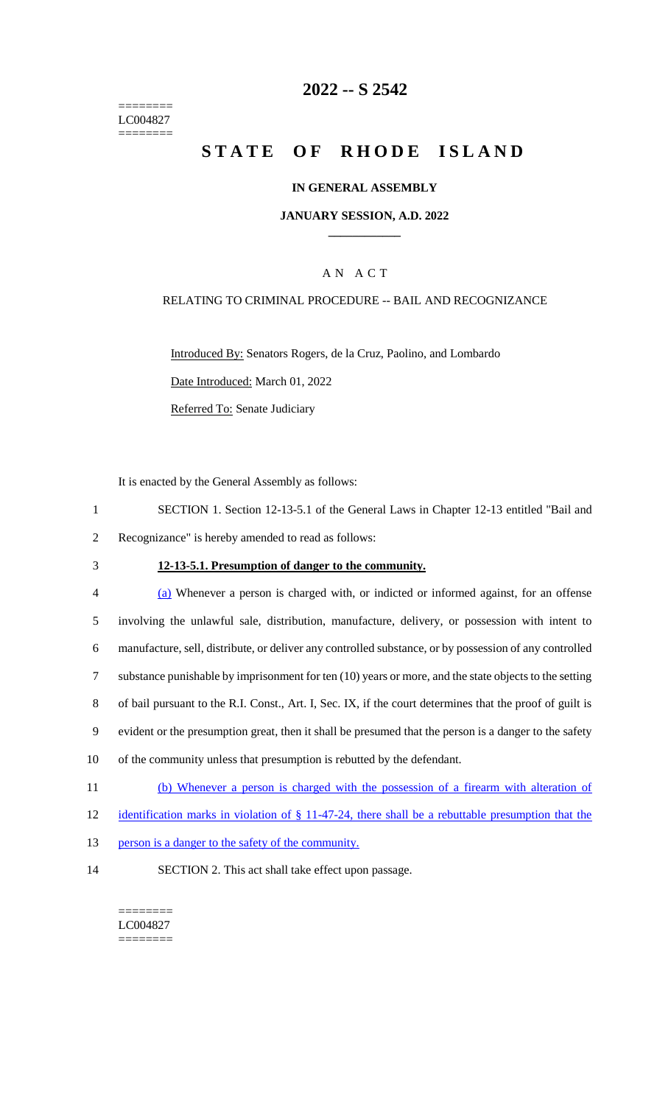======== LC004827  $=$ 

## **2022 -- S 2542**

# **STATE OF RHODE ISLAND**

### **IN GENERAL ASSEMBLY**

### **JANUARY SESSION, A.D. 2022 \_\_\_\_\_\_\_\_\_\_\_\_**

## A N A C T

### RELATING TO CRIMINAL PROCEDURE -- BAIL AND RECOGNIZANCE

Introduced By: Senators Rogers, de la Cruz, Paolino, and Lombardo Date Introduced: March 01, 2022 Referred To: Senate Judiciary

It is enacted by the General Assembly as follows:

- 1 SECTION 1. Section 12-13-5.1 of the General Laws in Chapter 12-13 entitled "Bail and 2 Recognizance" is hereby amended to read as follows:
- 

#### 3 **12-13-5.1. Presumption of danger to the community.**

| $\overline{4}$ | (a) Whenever a person is charged with, or indicted or informed against, for an offense                   |
|----------------|----------------------------------------------------------------------------------------------------------|
| 5              | involving the unlawful sale, distribution, manufacture, delivery, or possession with intent to           |
| 6              | manufacture, sell, distribute, or deliver any controlled substance, or by possession of any controlled   |
| 7              | substance punishable by imprisonment for ten $(10)$ years or more, and the state objects to the setting  |
| 8              | of bail pursuant to the R.I. Const., Art. I, Sec. IX, if the court determines that the proof of guilt is |
| 9              | evident or the presumption great, then it shall be presumed that the person is a danger to the safety    |
| 10             | of the community unless that presumption is rebutted by the defendant.                                   |
| 11             | (b) Whenever a person is charged with the possession of a firearm with alteration of                     |

- 12 identification marks in violation of § 11-47-24, there shall be a rebuttable presumption that the
- 13 person is a danger to the safety of the community.
- 14 SECTION 2. This act shall take effect upon passage.

======== LC004827 ========